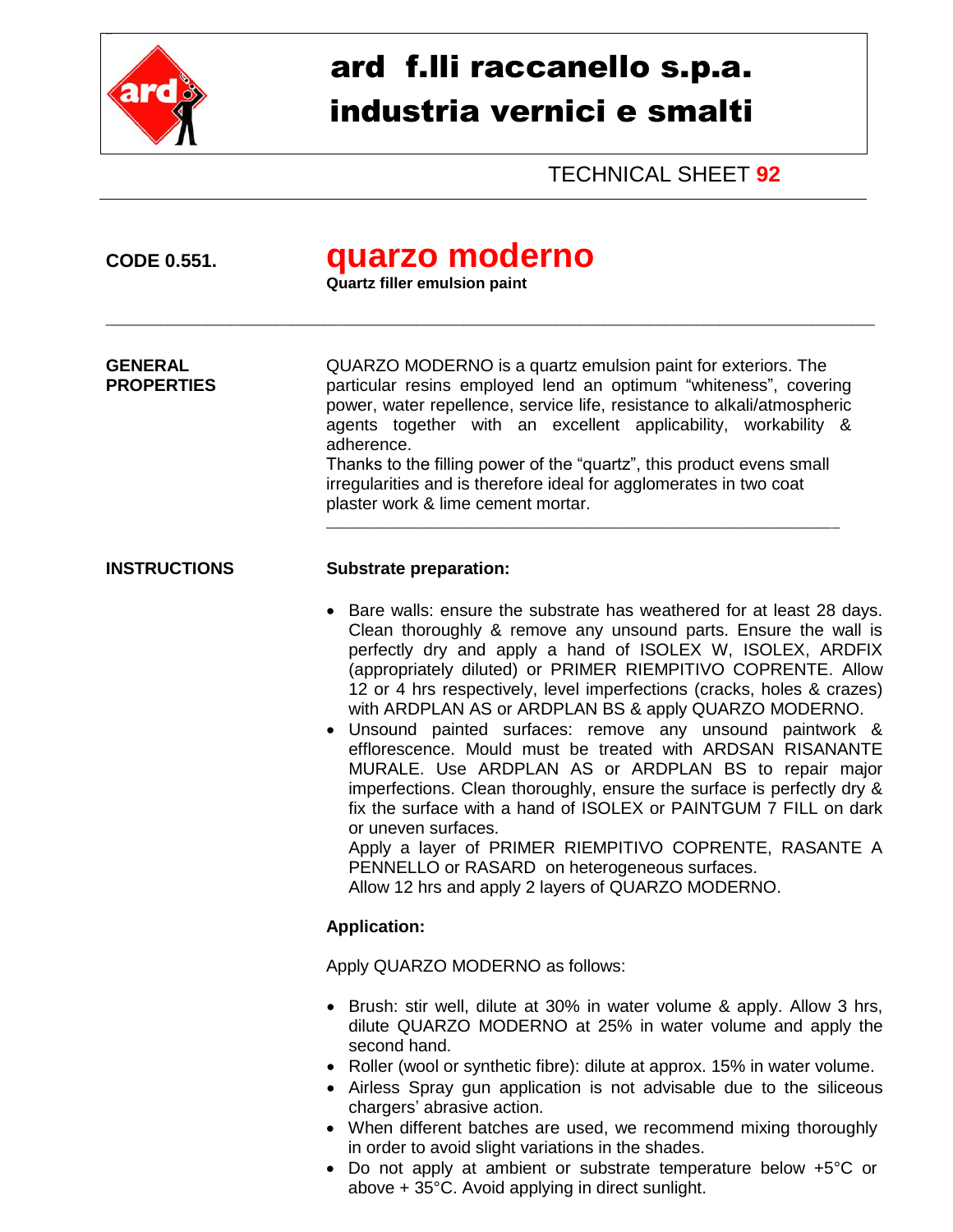

## ard f.lli raccanello s.p.a. industria vernici e smalti

TECHNICAL SHEET **92**

| <b>CODE 0.551.</b>                  | quarzo moderno<br><b>Quartz filler emulsion paint</b>                                                                                                                                                                                                                                                                                                                                                                                                                                                                                                                                                                                                                                                                                                                                                                                                                                                                            |  |
|-------------------------------------|----------------------------------------------------------------------------------------------------------------------------------------------------------------------------------------------------------------------------------------------------------------------------------------------------------------------------------------------------------------------------------------------------------------------------------------------------------------------------------------------------------------------------------------------------------------------------------------------------------------------------------------------------------------------------------------------------------------------------------------------------------------------------------------------------------------------------------------------------------------------------------------------------------------------------------|--|
| <b>GENERAL</b><br><b>PROPERTIES</b> | QUARZO MODERNO is a quartz emulsion paint for exteriors. The<br>particular resins employed lend an optimum "whiteness", covering<br>power, water repellence, service life, resistance to alkali/atmospheric<br>agents together with an excellent applicability, workability &<br>adherence.<br>Thanks to the filling power of the "quartz", this product evens small<br>irregularities and is therefore ideal for agglomerates in two coat<br>plaster work & lime cement mortar.                                                                                                                                                                                                                                                                                                                                                                                                                                                 |  |
| <b>INSTRUCTIONS</b>                 | <b>Substrate preparation:</b>                                                                                                                                                                                                                                                                                                                                                                                                                                                                                                                                                                                                                                                                                                                                                                                                                                                                                                    |  |
|                                     | Bare walls: ensure the substrate has weathered for at least 28 days.<br>Clean thoroughly & remove any unsound parts. Ensure the wall is<br>perfectly dry and apply a hand of ISOLEX W, ISOLEX, ARDFIX<br>(appropriately diluted) or PRIMER RIEMPITIVO COPRENTE. Allow<br>12 or 4 hrs respectively, level imperfections (cracks, holes & crazes)<br>with ARDPLAN AS or ARDPLAN BS & apply QUARZO MODERNO.<br>Unsound painted surfaces: remove any unsound paintwork &<br>efflorescence. Mould must be treated with ARDSAN RISANANTE<br>MURALE. Use ARDPLAN AS or ARDPLAN BS to repair major<br>imperfections. Clean thoroughly, ensure the surface is perfectly dry &<br>fix the surface with a hand of ISOLEX or PAINTGUM 7 FILL on dark<br>or uneven surfaces.<br>Apply a layer of PRIMER RIEMPITIVO COPRENTE, RASANTE A<br>PENNELLO or RASARD on heterogeneous surfaces.<br>Allow 12 hrs and apply 2 layers of QUARZO MODERNO. |  |
|                                     | <b>Application:</b>                                                                                                                                                                                                                                                                                                                                                                                                                                                                                                                                                                                                                                                                                                                                                                                                                                                                                                              |  |
|                                     | Apply QUARZO MODERNO as follows:                                                                                                                                                                                                                                                                                                                                                                                                                                                                                                                                                                                                                                                                                                                                                                                                                                                                                                 |  |
|                                     | • Brush: stir well, dilute at 30% in water volume & apply. Allow 3 hrs,<br>dilute QUARZO MODERNO at 25% in water volume and apply the<br>second hand.<br>• Roller (wool or synthetic fibre): dilute at approx. 15% in water volume.<br>• Airless Spray gun application is not advisable due to the siliceous<br>chargers' abrasive action.<br>• When different batches are used, we recommend mixing thoroughly<br>in order to avoid slight variations in the shades.<br>Do not apply at ambient or substrate temperature below $+5\degree$ C or                                                                                                                                                                                                                                                                                                                                                                                 |  |

 Do not apply at ambient or substrate temperature below +5°C or above + 35°C. Avoid applying in direct sunlight.